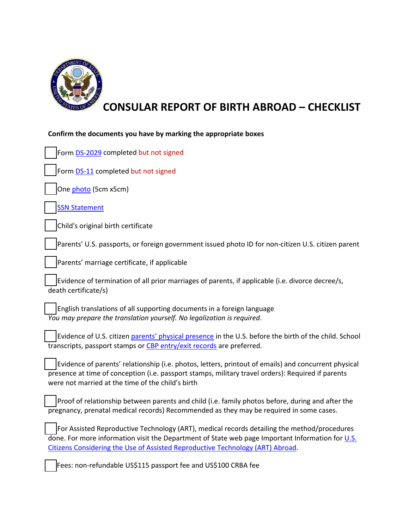

## **CONSULAR REPORT OF BIRTH ABROAD – CHECKLIST**

| Confirm the documents you have by marking the appropriate boxes                                                                                                                                                                                                                   |
|-----------------------------------------------------------------------------------------------------------------------------------------------------------------------------------------------------------------------------------------------------------------------------------|
| Form DS-2029 completed but not signed                                                                                                                                                                                                                                             |
| Form DS-11 completed but not signed                                                                                                                                                                                                                                               |
| One photo (5cm x5cm)                                                                                                                                                                                                                                                              |
| <b>SSN Statement</b>                                                                                                                                                                                                                                                              |
| Child's original birth certificate                                                                                                                                                                                                                                                |
| Parents' U.S. passports, or foreign government issued photo ID for non-citizen U.S. citizen parent                                                                                                                                                                                |
| Parents' marriage certificate, if applicable                                                                                                                                                                                                                                      |
| Evidence of termination of all prior marriages of parents, if applicable (i.e. divorce decree/s,<br>death certificate/s)                                                                                                                                                          |
| English translations of all supporting documents in a foreign language<br>You may prepare the translation yourself. No legalization is required.                                                                                                                                  |
| Evidence of U.S. citizen parents' physical presence in the U.S. before the birth of the child. School<br>transcripts, passport stamps or CBP entry/exit records are preferred.                                                                                                    |
| Evidence of parents' relationship (i.e. photos, letters, printout of emails) and concurrent physical<br>presence at time of conception (i.e. passport stamps, military travel orders): Required if parents<br>were not married at the time of the child's birth                   |
| Proof of relationship between parents and child (i.e. family photos before, during and after the<br>pregnancy, prenatal medical records) Recommended as they may be required in some cases.                                                                                       |
| For Assisted Reproductive Technology (ART), medical records detailing the method/procedures<br>done. For more information visit the Department of State web page Important Information for U.S.<br>Citizens Considering the Use of Assisted Reproductive Technology (ART) Abroad. |
| Fees: non-refundable US\$115 passport fee and US\$100 CRBA fee                                                                                                                                                                                                                    |